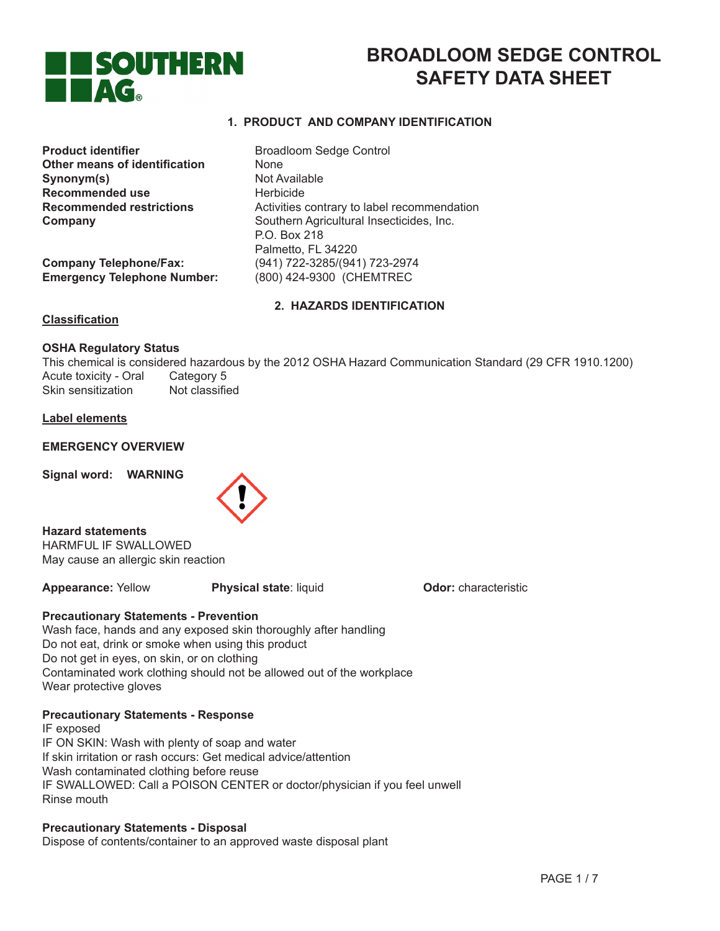

# **BROADLOOM SEDGE CONTROL SAFETY DATA SHEET**

# **1. PRODUCT AND COMPANY IDENTIFICATION**

**Product identifier Broadloom Sedge Control Other means of identification None Synonym(s)** Not Available **Recommended use <br>
<b>Recommended restrictions**<br>
Activities

**Company Telephone/Fax:** (941) 722-3285/(941) 723-2974 **Emergency Telephone Number:** (800) 424-9300 (CHEMTREC

Activities contrary to label recommendation **Company Company Company Company Company Company Company Company Company Company Company Company Company Company Company Company Company Company Company Company Company Company C**  P.O. Box 218 Palmetto, FL 34220

**2. HAZARDS IDENTIFICATION**

# **Classification**

# **OSHA Regulatory Status**

This chemical is considered hazardous by the 2012 OSHA Hazard Communication Standard (29 CFR 1910.1200) Acute toxicity - Oral Category 5<br>Skin sensitization Not classified Skin sensitization

# **Label elements**

# **EMERGENCY OVERVIEW**

**Signal word: WARNING**



**Hazard statements** HARMFUL IF SWALLOWED May cause an allergic skin reaction

**Appearance: Yellow Physical state: liquid <b>Odor:** characteristic

# **Precautionary Statements - Prevention**

Wash face, hands and any exposed skin thoroughly after handling Do not eat, drink or smoke when using this product Do not get in eyes, on skin, or on clothing Contaminated work clothing should not be allowed out of the workplace Wear protective gloves

# **Precautionary Statements - Response**

IF exposed IF ON SKIN: Wash with plenty of soap and water If skin irritation or rash occurs: Get medical advice/attention Wash contaminated clothing before reuse IF SWALLOWED: Call a POISON CENTER or doctor/physician if you feel unwell Rinse mouth

# **Precautionary Statements - Disposal**

Dispose of contents/container to an approved waste disposal plant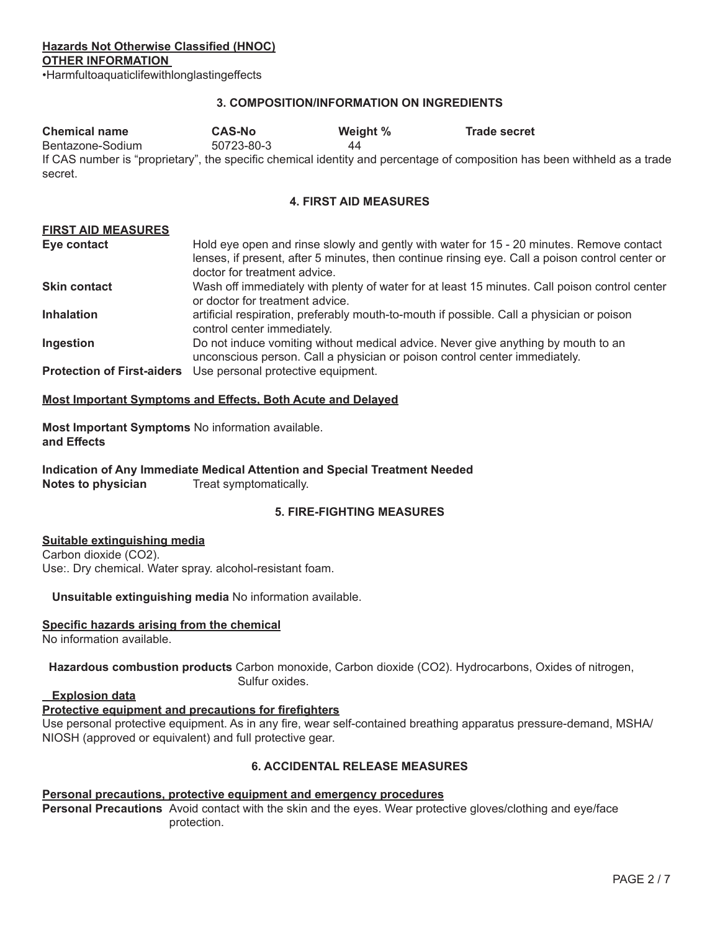**Hazards Not Otherwise Classified (HNOC) OTHER INFORMATION** 

•Harmfultoaquaticlifewithlonglastingeffects

# **3. COMPOSITION/INFORMATION ON INGREDIENTS**

| <b>Chemical name</b> | <b>CAS-No</b> | Weight % | <b>Trade secret</b>                                                                                                       |
|----------------------|---------------|----------|---------------------------------------------------------------------------------------------------------------------------|
| Bentazone-Sodium     | 50723-80-3    | 44       |                                                                                                                           |
| secret.              |               |          | If CAS number is "proprietary", the specific chemical identity and percentage of composition has been withheld as a trade |

# **4. FIRST AID MEASURES**

| <b>FIRST AID MEASURES</b>         |                                                                                                                                                                                                                             |
|-----------------------------------|-----------------------------------------------------------------------------------------------------------------------------------------------------------------------------------------------------------------------------|
| Eye contact                       | Hold eye open and rinse slowly and gently with water for 15 - 20 minutes. Remove contact<br>lenses, if present, after 5 minutes, then continue rinsing eye. Call a poison control center or<br>doctor for treatment advice. |
| <b>Skin contact</b>               | Wash off immediately with plenty of water for at least 15 minutes. Call poison control center<br>or doctor for treatment advice.                                                                                            |
| <b>Inhalation</b>                 | artificial respiration, preferably mouth-to-mouth if possible. Call a physician or poison<br>control center immediately.                                                                                                    |
| Ingestion                         | Do not induce vomiting without medical advice. Never give anything by mouth to an<br>unconscious person. Call a physician or poison control center immediately.                                                             |
| <b>Protection of First-aiders</b> | Use personal protective equipment.                                                                                                                                                                                          |

#### **Most Important Symptoms and Effects, Both Acute and Delayed**

**Most Important Symptoms** No information available. **and Effects**

**Indication of Any Immediate Medical Attention and Special Treatment Needed Notes to physician** Treat symptomatically.

# **5. FIRE-FIGHTING MEASURES**

#### **Suitable extinguishing media**

Carbon dioxide (CO2). Use:. Dry chemical. Water spray. alcohol-resistant foam.

# **Unsuitable extinguishing media** No information available.

#### **Specific hazards arising from the chemical**

No information available.

 **Hazardous combustion products** Carbon monoxide, Carbon dioxide (CO2). Hydrocarbons, Oxides of nitrogen, Sulfur oxides.

# **Explosion data**

# **Protective equipment and precautions for firefighters**

Use personal protective equipment. As in any fire, wear self-contained breathing apparatus pressure-demand, MSHA/ NIOSH (approved or equivalent) and full protective gear.

# **6. ACCIDENTAL RELEASE MEASURES**

#### **Personal precautions, protective equipment and emergency procedures**

Personal Precautions Avoid contact with the skin and the eyes. Wear protective gloves/clothing and eye/face protection.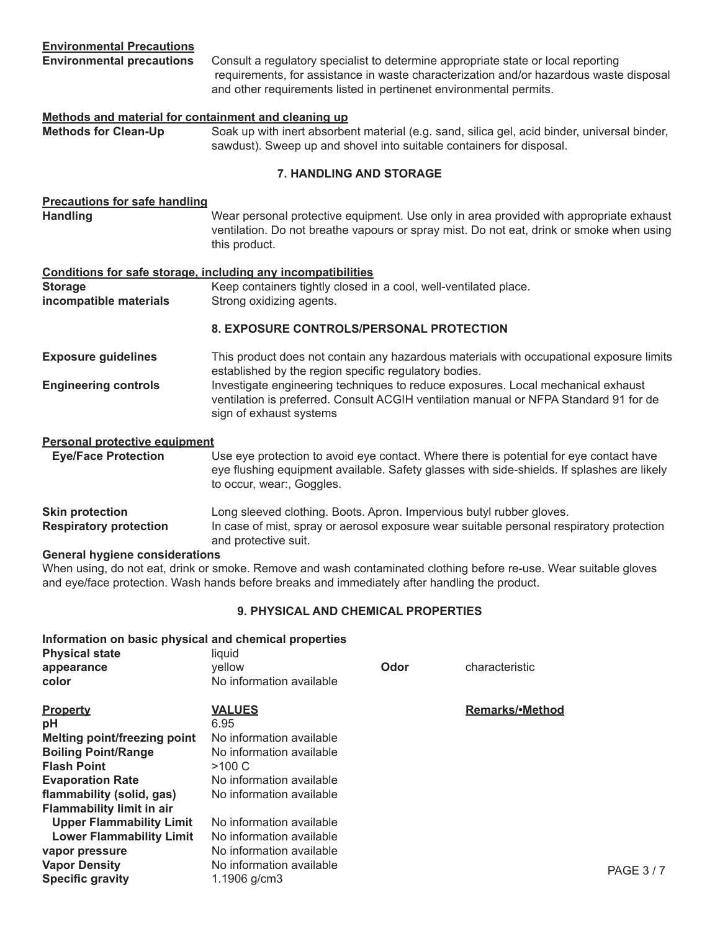**Environmental precautions** Consult a regulatory specialist to determine appropriate state or local reporting requirements, for assistance in waste characterization and/or hazardous waste disposal and other requirements listed in pertinenet environmental permits.

# **Methods and material for containment and cleaning up Methods for Clean-Up** Soak up with inert absorbent material (e.g. sand, silica gel, acid binder, universal binder, sawdust). Sweep up and shovel into suitable containers for disposal. **7. HANDLING AND STORAGE Precautions for safe handling Handling** *Mear personal protective equipment.* Use only in area provided with appropriate exhaust ventilation. Do not breathe vapours or spray mist. Do not eat, drink or smoke when using this product. **Conditions for safe storage, including any incompatibilities Storage Storage Reep containers tightly closed in a cool, well-ventilated place. incompatible materials** Strong oxidizing agents. **8. EXPOSURE CONTROLS/PERSONAL PROTECTION Exposure guidelines** This product does not contain any hazardous materials with occupational exposure limits established by the region specific regulatory bodies. **Engineering controls** *Investigate engineering techniques to reduce exposures. Local mechanical exhaust*  ventilation is preferred. Consult ACGIH ventilation manual or NFPA Standard 91 for de sign of exhaust systems **Personal protective equipment Eye/Face Protection** Use eye protection to avoid eye contact. Where there is potential for eye contact have eye flushing equipment available. Safety glasses with side-shields. If splashes are likely to occur, wear:, Goggles. **Skin protection Long sleeved clothing. Boots. Apron. Impervious butyl rubber gloves. Respiratory protection** In case of mist, spray or aerosol exposure wear suitable personal respiratory protection

 and protective suit. **General hygiene considerations**

When using, do not eat, drink or smoke. Remove and wash contaminated clothing before re-use. Wear suitable gloves and eye/face protection. Wash hands before breaks and immediately after handling the product.

# **9. PHYSICAL AND CHEMICAL PROPERTIES**

# **Information on basic physical and chemical properties Physical state and liquid liquid appearance below CODOR CODOR** *CODOR* **Characteristic color** No information available **Property VALUES Property Remarks/•Method**<br> **pH** 6.95 **pH** 6.95 **Melting point/freezing point** No information available<br>**Boiling Point/Range** Mo information available **Boiling Point/Range Flash Point >100 C Evaporation Rate No information available**<br> **flammability (solid. gas)** No information available **flammability (solid, gas) Flammability limit in air Upper Flammability Limit** No information available<br>**Lower Flammability Limit** No information available **Lower Flammability Limit vapor pressure No information available Vapor Density No information available Specific gravity and the community of the community of the community of the community of the community of the community of the Second PAGE 3 / 7**  $\mu$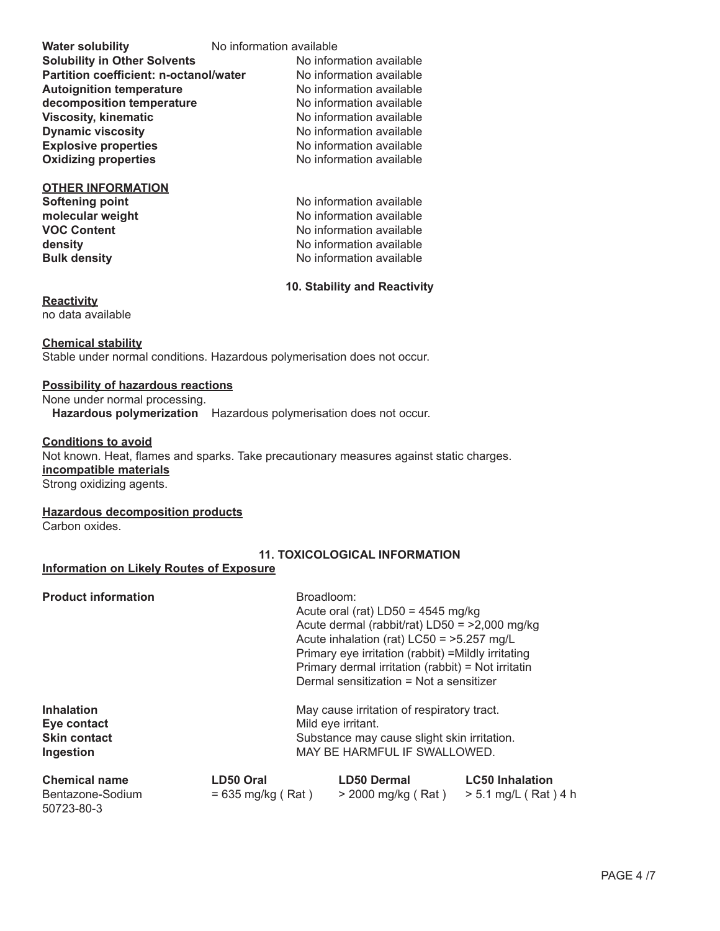| <b>Water solubility</b>                       | No information available |                          |  |
|-----------------------------------------------|--------------------------|--------------------------|--|
| <b>Solubility in Other Solvents</b>           |                          | No information available |  |
| <b>Partition coefficient: n-octanol/water</b> |                          | No information available |  |
| <b>Autoignition temperature</b>               |                          | No information available |  |
| decomposition temperature                     |                          | No information available |  |
| <b>Viscosity, kinematic</b>                   |                          | No information available |  |
| <b>Dynamic viscosity</b>                      |                          | No information available |  |
| <b>Explosive properties</b>                   |                          | No information available |  |
| <b>Oxidizing properties</b>                   |                          | No information available |  |
| <b>OTHER INFORMATION</b>                      |                          |                          |  |
| Softening point                               |                          | No information available |  |
| molecular weight                              |                          | No information available |  |
| <b>VOC Content</b>                            |                          | No information available |  |
| density                                       |                          | No information available |  |

# **Bulk density Bulk density** *No information available*

**10. Stability and Reactivity**

# **Reactivity**

no data available

# **Chemical stability**

Stable under normal conditions. Hazardous polymerisation does not occur.

# **Possibility of hazardous reactions**

None under normal processing. **Hazardous polymerization** Hazardous polymerisation does not occur.

# **Conditions to avoid**

Not known. Heat, flames and sparks. Take precautionary measures against static charges. **incompatible materials**

Strong oxidizing agents.

# **Hazardous decomposition products**

Carbon oxides.

# **11. TOXICOLOGICAL INFORMATION**

# **Information on Likely Routes of Exposure**

**Product information Draggleom:** 

| Alexandra all announce |                                             |                                                     |  |
|------------------------|---------------------------------------------|-----------------------------------------------------|--|
| Ingestion              |                                             | MAY BE HARMFUL IF SWALLOWED.                        |  |
| <b>Skin contact</b>    | Substance may cause slight skin irritation. |                                                     |  |
| Eye contact            |                                             | Mild eye irritant.                                  |  |
| <b>Inhalation</b>      |                                             | May cause irritation of respiratory tract.          |  |
|                        |                                             | Dermal sensitization = Not a sensitizer             |  |
|                        |                                             | Primary dermal irritation (rabbit) = Not irritatin  |  |
|                        |                                             | Primary eye irritation (rabbit) = Mildly irritating |  |
|                        |                                             | Acute inhalation (rat) $LCS0 = 5.257$ mg/L          |  |
|                        |                                             | Acute dermal (rabbit/rat) $LD50 = 2,000$ mg/kg      |  |
|                        |                                             | Acute oral (rat) $LD50 = 4545$ mg/kg                |  |
| Proguet information    |                                             | DIUQUIUUIII.                                        |  |

| <b>Chemical name</b> | LD50 Oral           | <b>LD50 Dermal</b>   | <b>LC50 Inhalation</b> |
|----------------------|---------------------|----------------------|------------------------|
| Bentazone-Sodium     | $= 635$ mg/kg (Rat) | > 2000 mg/kg ( Rat ) | > 5.1 mg/L ( Rat ) 4 h |
| 50723-80-3           |                     |                      |                        |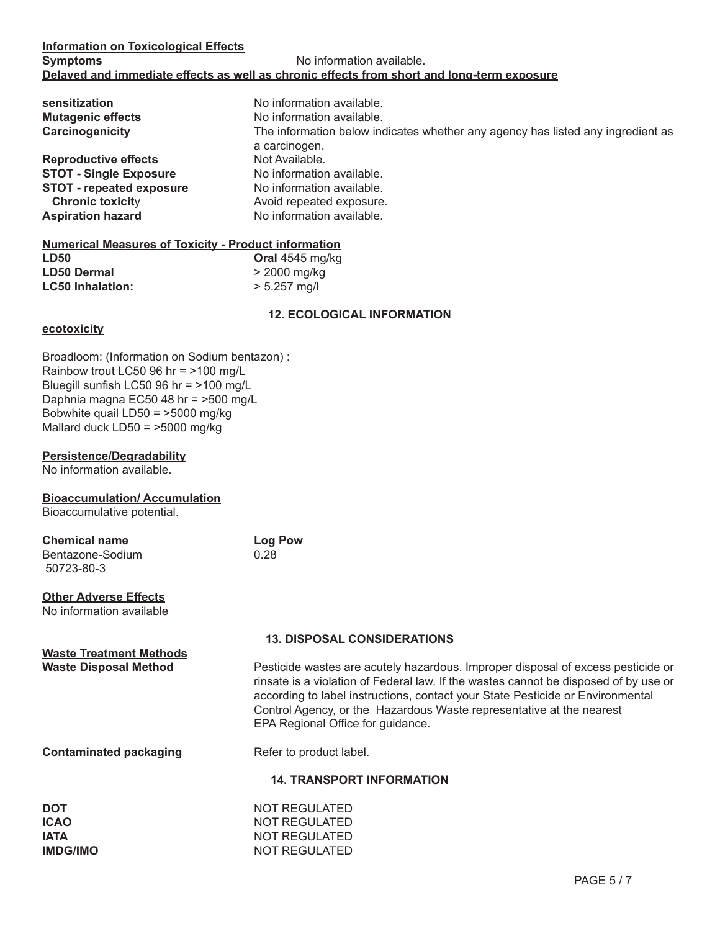| sensitization<br><b>Mutagenic effects</b><br>Carcinogenicity | No information available.<br>No information available.<br>The information below indicates whether any agency has listed any ingredient as<br>a carcinogen. |
|--------------------------------------------------------------|------------------------------------------------------------------------------------------------------------------------------------------------------------|
| <b>Reproductive effects</b>                                  | Not Available.                                                                                                                                             |
| <b>STOT - Single Exposure</b>                                | No information available.                                                                                                                                  |
| <b>STOT - repeated exposure</b>                              | No information available.                                                                                                                                  |
| <b>Chronic toxicity</b>                                      | Avoid repeated exposure.                                                                                                                                   |
| <b>Aspiration hazard</b>                                     | No information available.                                                                                                                                  |

# **Numerical Measures of Toxicity - Product information**

| <b>LD50</b>             | Oral 4545 mg/kg |
|-------------------------|-----------------|
| <b>LD50 Dermal</b>      | $>$ 2000 mg/kg  |
| <b>LC50 Inhalation:</b> | $> 5.257$ mg/l  |

# **12. ECOLOGICAL INFORMATION**

# **ecotoxicity**

Broadloom: (Information on Sodium bentazon) : Rainbow trout LC50 96 hr = >100 mg/L Bluegill sunfish LC50 96 hr = >100 mg/L Daphnia magna EC50 48 hr = >500 mg/L Bobwhite quail LD50 = >5000 mg/kg Mallard duck LD50 = >5000 mg/kg

# **Persistence/Degradability**

No information available.

# **Bioaccumulation/ Accumulation**

Bioaccumulative potential.

| <b>Chemical name</b> | <b>Log Pow</b> |
|----------------------|----------------|
| Bentazone-Sodium     | 0.28           |
| 50723-80-3           |                |

# **Other Adverse Effects**

No information available

**Waste Treatment Methods**

# **13. DISPOSAL CONSIDERATIONS**

**Waste Disposal Method** *Pesticide wastes are acutely hazardous. Improper disposal of excess pesticide or* $\blacksquare$  rinsate is a violation of Federal law. If the wastes cannot be disposed of by use or according to label instructions, contact your State Pesticide or Environmental Control Agency, or the Hazardous Waste representative at the nearest EPA Regional Office for guidance.

**Contaminated packaging Theory Refer to product label.** 

# **14. TRANSPORT INFORMATION**

| DOT             |  |
|-----------------|--|
| ICAO            |  |
| IATA            |  |
| <b>IMDG/IMO</b> |  |
|                 |  |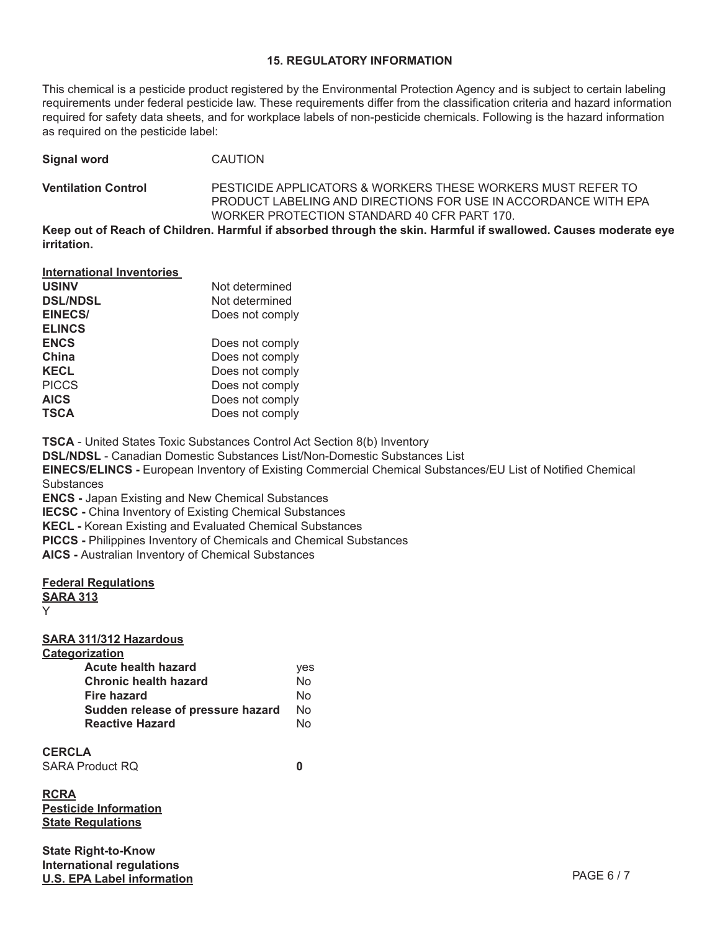# **15. REGULATORY INFORMATION**

This chemical is a pesticide product registered by the Environmental Protection Agency and is subject to certain labeling requirements under federal pesticide law. These requirements differ from the classification criteria and hazard information required for safety data sheets, and for workplace labels of non-pesticide chemicals. Following is the hazard information as required on the pesticide label:

**Signal word CAUTION Ventilation Control** PESTICIDE APPLICATORS & WORKERS THESE WORKERS MUST REFER TO PRODUCT LABELING AND DIRECTIONS FOR USE IN ACCORDANCE WITH EPA WORKER PROTECTION STANDARD 40 CFR PART 170.

**Keep out of Reach of Children. Harmful if absorbed through the skin. Harmful if swallowed. Causes moderate eye irritation.**

| Not determined  |
|-----------------|
| Not determined  |
| Does not comply |
|                 |
| Does not comply |
| Does not comply |
| Does not comply |
| Does not comply |
| Does not comply |
| Does not comply |
|                 |

**TSCA** - United States Toxic Substances Control Act Section 8(b) Inventory

**DSL/NDSL** - Canadian Domestic Substances List/Non-Domestic Substances List

**EINECS/ELINCS -** European Inventory of Existing Commercial Chemical Substances/EU List of Notified Chemical **Substances** 

**ENCS -** Japan Existing and New Chemical Substances

**IECSC -** China Inventory of Existing Chemical Substances

**KECL -** Korean Existing and Evaluated Chemical Substances

**PICCS -** Philippines Inventory of Chemicals and Chemical Substances

**AICS -** Australian Inventory of Chemical Substances

# **Federal Regulations**

**SARA 313** Y

**SARA 311/312 Hazardous**

**Categorization**

| yes |
|-----|
| N٥  |
| N٥  |
| No  |
| N٥  |
|     |

**CERCLA**

SARA Product RQ **0** 

**RCRA Pesticide Information State Regulations**

**State Right-to-Know International regulations U.S. EPA Label information** PAGE 6 / 7